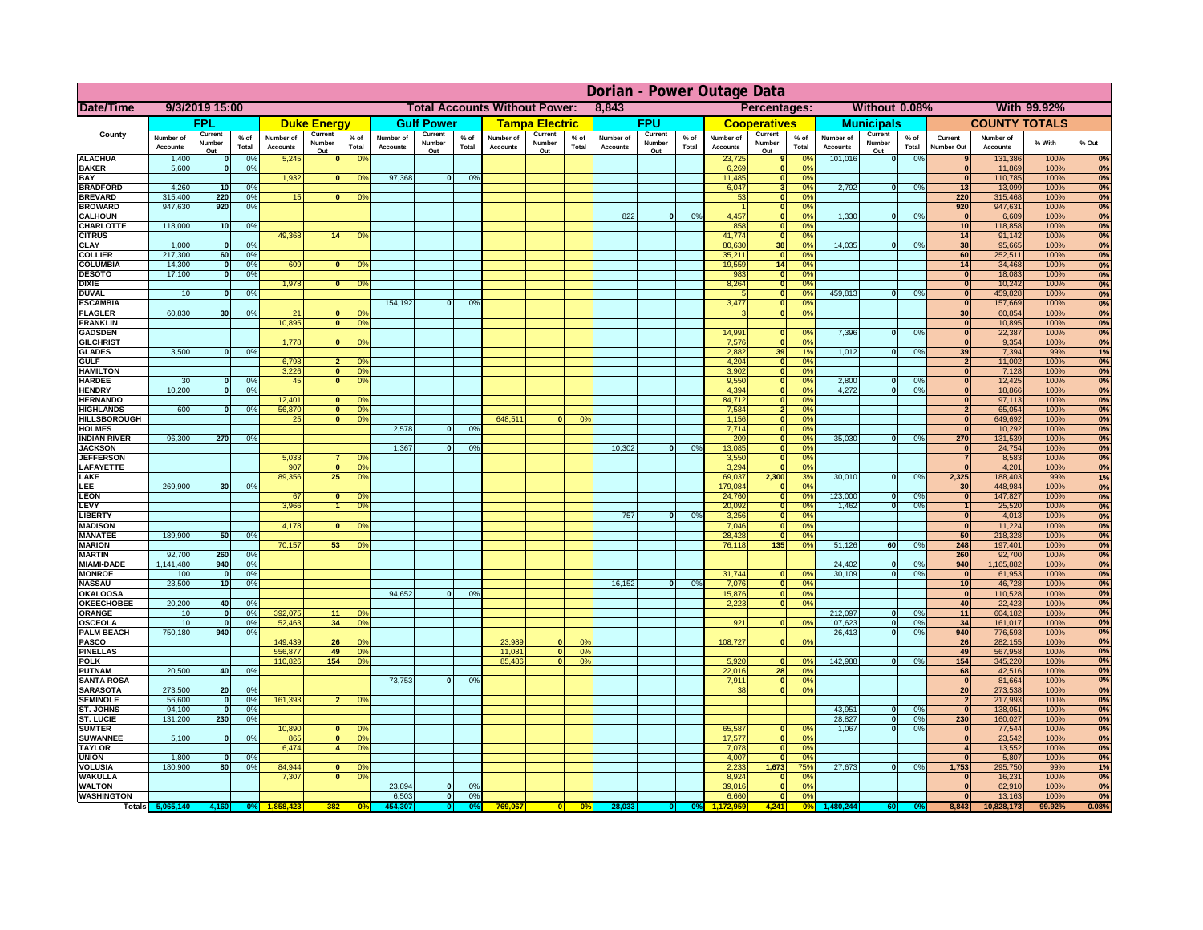|                                      | Dorian - Power Outage Data   |                          |                      |                              |                          |                                             |                       |                          |                |                                      |                          |                 |                              |                          |               |                              |                                      |                 |                              |                          |                 |                                         |                       |              |          |
|--------------------------------------|------------------------------|--------------------------|----------------------|------------------------------|--------------------------|---------------------------------------------|-----------------------|--------------------------|----------------|--------------------------------------|--------------------------|-----------------|------------------------------|--------------------------|---------------|------------------------------|--------------------------------------|-----------------|------------------------------|--------------------------|-----------------|-----------------------------------------|-----------------------|--------------|----------|
| Date/Time                            |                              | 9/3/2019 15:00           |                      |                              |                          |                                             |                       |                          |                | <b>Total Accounts Without Power:</b> |                          |                 | 8,843                        |                          |               |                              | Percentages:                         |                 |                              | Without 0.08%            |                 |                                         |                       | With 99.92%  |          |
|                                      |                              | <b>FPL</b>               |                      |                              | <b>Duke Energy</b>       |                                             |                       | <b>Gulf Power</b>        |                |                                      | <b>Tampa Electric</b>    |                 |                              | <b>FPU</b>               |               |                              | <b>Cooperatives</b>                  |                 |                              | <b>Municipals</b>        |                 |                                         | <b>COUNTY TOTALS</b>  |              |          |
| County                               | Number of<br><b>Accounts</b> | Current<br>Number<br>Out | $%$ of<br>Total      | Number of<br><b>Accounts</b> | Current<br>Number<br>Out | $%$ of<br>Total                             | Number of<br>Accounts | Current<br>Number<br>Out | % of<br>Total  | Number of<br><b>Accounts</b>         | Current<br>Number<br>Out | $%$ of<br>Total | Number of<br><b>Accounts</b> | Current<br>Number<br>Out | % of<br>Total | Number of<br><b>Accounts</b> | Current<br>Number<br><u>Out</u>      | $%$ of<br>Total | Number of<br><b>Accounts</b> | Current<br>Number<br>Out | $%$ of<br>Total | Current<br>Number Out                   | Number of<br>Accounts | % With       | % Out    |
| <b>ALACHUA</b>                       | 1,400                        | $\Omega$                 | 0%                   | 5,245                        | $\mathbf{0}$             | 0 <sup>9</sup>                              |                       |                          |                |                                      |                          |                 |                              |                          |               | 23,725                       | 9                                    | no              | 101,016                      | 0                        | 0%              |                                         | 131,386               | 100%         | 0%       |
| <b>BAKER</b><br><b>BAY</b>           | 5,600                        |                          | 0 <sup>9</sup>       | 1,932                        | n                        | 0 <sup>9</sup>                              | 97,368                | $\mathbf{0}$             | 0%             |                                      |                          |                 |                              |                          |               | 6,269<br>11,485              | $\mathbf 0$<br>$\mathbf 0$           | 0%<br>0%        |                              |                          |                 | $\Omega$<br>$\overline{0}$              | 11,869<br>110,785     | 100%<br>100% | 0%<br>0% |
| <b>BRADFORD</b>                      | 4,260                        | 10                       | 0%                   |                              |                          |                                             |                       |                          |                |                                      |                          |                 |                              |                          |               | 6,047                        | s,                                   | 0%              | 2,792                        | 0                        | 0%              | 13                                      | 13,099                | 100%         | 0%       |
| <b>BREVARD</b>                       | 315,400                      | 220                      | 0%                   | 15                           |                          | 0 <sup>9</sup><br>$\mathbf{0}$              |                       |                          |                |                                      |                          |                 |                              |                          |               | 53                           | $\overline{\mathbf{0}}$              | 0%              |                              |                          |                 | 220                                     | 315,468               | 100%         | 0%       |
| <b>BROWARD</b>                       | 947,630                      | 920                      | 0%                   |                              |                          |                                             |                       |                          |                |                                      |                          |                 |                              |                          |               |                              | $\overline{\mathbf{0}}$              | 0%              |                              |                          |                 | 920                                     | 947,631               | 100%         | 0%       |
| <b>CALHOUN</b>                       | 118,000                      |                          |                      |                              |                          |                                             |                       |                          |                |                                      |                          |                 | 822                          | 0                        | 0%            | 4,457<br>858                 | ō                                    | 0%<br>0%        | 1,330                        | 0                        | 0%              | 0 <br>10                                | 6,609                 | 100%<br>100% | 0%       |
| <b>CHARLOTTE</b><br><b>CITRUS</b>    |                              | 10                       | 0 <sup>9</sup>       | 49.368                       | 14                       | 0 <sup>9</sup>                              |                       |                          |                |                                      |                          |                 |                              |                          |               | 41.774                       | $\bullet$<br>$\overline{\mathbf{0}}$ | 0%              |                              |                          |                 | 14                                      | 118,858<br>91,142     | 100%         | 0%<br>0% |
| <b>CLAY</b>                          | 1,000                        | $\Omega$                 | 0%                   |                              |                          |                                             |                       |                          |                |                                      |                          |                 |                              |                          |               | 80,630                       | 38                                   | 0%              | 14.035                       | ol                       | 0%              | $\overline{38}$                         | 95,665                | 100%         | 0%       |
| <b>COLLIER</b>                       | 217,300                      | 60                       | 0 <sup>9</sup>       |                              |                          |                                             |                       |                          |                |                                      |                          |                 |                              |                          |               | 35,211                       | 0                                    | 0%              |                              |                          |                 | 60                                      | 252,511               | 100%         | 0%       |
| <b>COLUMBIA</b>                      | 14,300                       | ol                       | 0%                   | 609                          |                          | 0 <sup>9</sup><br>$\overline{0}$            |                       |                          |                |                                      |                          |                 |                              |                          |               | 19.559                       | 14                                   | 0%              |                              |                          |                 | 14                                      | 34,468                | 100%         | 0%       |
| <b>DESOTO</b><br><b>DIXIE</b>        | 17,100                       | $\overline{0}$           | 0%                   | 1,978                        |                          | $\overline{0}$<br>0 <sup>9</sup>            |                       |                          |                |                                      |                          |                 |                              |                          |               | 983                          | 0                                    | 0%<br>0%        |                              |                          |                 | 0 <br> 0                                | 18,083                | 100%         | 0%<br>0% |
| <b>DUVAL</b>                         | 10                           | $\Omega$                 | 0%                   |                              |                          |                                             |                       |                          |                |                                      |                          |                 |                              |                          |               | 8,264<br>-5                  | 0 <br>$\overline{\bullet}$           | 0%              | 459,813                      | ō                        | 0%              | 0                                       | 10,242<br>459,828     | 100%<br>100% | 0%       |
| <b>ESCAMBIA</b>                      |                              |                          |                      |                              |                          |                                             | 154,192               | $\mathbf{0}$             | 0 <sup>o</sup> |                                      |                          |                 |                              |                          |               | 3,477                        | $\overline{\mathbf{0}}$              | 0%              |                              |                          |                 | 0                                       | 157,669               | 100%         | 0%       |
| <b>FLAGLER</b>                       | 60,830                       | 30                       | 0 <sup>9</sup>       | 21                           |                          | 0 <sup>9</sup><br>$\Omega$                  |                       |                          |                |                                      |                          |                 |                              |                          |               | 3                            | 0                                    | 0%              |                              |                          |                 | 30 <sup>1</sup>                         | 60,854                | 100%         | 0%       |
| <b>FRANKLIN</b>                      |                              |                          |                      | 10,895                       |                          | $\overline{0}$<br>0 <sup>9</sup>            |                       |                          |                |                                      |                          |                 |                              |                          |               |                              |                                      |                 |                              |                          |                 | 0                                       | 10,895                | 100%         | 0%       |
| <b>GADSDEN</b><br><b>GILCHRIST</b>   |                              |                          |                      | 1.778                        |                          | $\overline{0}$<br>0 <sup>9</sup>            |                       |                          |                |                                      |                          |                 |                              |                          |               | 14.991<br>7,576              | $\mathbf{0}$<br> 0                   | 0%<br>0%        | 7,396                        | ō                        | 0%              | 0 <br> 0                                | 22,387<br>9,354       | 100%<br>100% | 0%<br>0% |
| <b>GLADES</b>                        | 3.500                        |                          | 0%                   |                              |                          |                                             |                       |                          |                |                                      |                          |                 |                              |                          |               | 2.882                        | 39                                   | 1%              | 1.012                        | $\Omega$                 | 0%              | 39                                      | 7,394                 | 99%          | 1%       |
| GULF                                 |                              |                          |                      | 6.798                        |                          | 2 <sub>1</sub><br>0 <sup>o</sup>            |                       |                          |                |                                      |                          |                 |                              |                          |               | 4,204                        | 0                                    | 0%              |                              |                          |                 | 2 <sup>1</sup>                          | 11,002                | 100%         | 0%       |
| <b>HAMILTON</b>                      |                              |                          |                      | 3.226                        |                          | $\mathbf{0}$<br>0 <sup>o</sup>              |                       |                          |                |                                      |                          |                 |                              |                          |               | 3.902                        | 0                                    | 0%              |                              |                          |                 | 0                                       | 7,128                 | 100%         | 0%       |
| <b>HARDEE</b>                        | 30                           |                          | 0 <sup>9</sup>       | 45                           |                          | $\overline{0}$<br>0%                        |                       |                          |                |                                      |                          |                 |                              |                          |               | 9,550                        | 0                                    | 0%              | 2,800                        | $\mathbf{0}$             | 0%              | 0                                       | 12,425                | 100%         | 0%       |
| <b>HENDRY</b><br><b>HERNANDO</b>     | 10,200                       | $\Omega$                 | 0%                   | 12,401                       |                          | 0<br>0 <sup>6</sup>                         |                       |                          |                |                                      |                          |                 |                              |                          |               | 4,394<br>84,712              | 0 <br> 0                             | 0%<br>0%        | 4,272                        | $\Omega$                 | 0%              | 0 <br> 0                                | 18,866<br>97,113      | 100%<br>100% | 0%<br>0% |
| <b>HIGHLANDS</b>                     | 600                          |                          | 0 <sup>9</sup>       | 56,870                       |                          | 0 <br>0 <sup>9</sup>                        |                       |                          |                |                                      |                          |                 |                              |                          |               | 7,584                        | $2 \mid$                             | 0%              |                              |                          |                 | 2                                       | 65,054                | 100%         | 0%       |
| <b>HILLSBOROUGH</b>                  |                              |                          |                      | 25                           |                          | 0 <br>0%                                    |                       |                          |                | 648,511                              | $\Omega$                 | 0%              |                              |                          |               | 1,156                        | 0                                    | 0%              |                              |                          |                 | 0                                       | 649,692               | 100%         | 0%       |
| <b>HOLMES</b>                        |                              |                          |                      |                              |                          |                                             | 2,578                 | $\mathbf{0}$             | 0%             |                                      |                          |                 |                              |                          |               | 7,714                        | 0                                    | 0%              |                              |                          |                 | 0                                       | 10,292                | 100%         | 0%       |
| <b>INDIAN RIVER</b>                  | 96,300                       | 270                      | 0%                   |                              |                          |                                             |                       |                          |                |                                      |                          |                 |                              |                          |               | 209                          | 0                                    | 0%              | 35,030                       | $\mathbf{0}$             | 0%              | 270                                     | 131,539               | 100%         | 0%       |
| <b>JACKSON</b><br><b>JEFFERSON</b>   |                              |                          |                      | 5,033                        |                          | O <sup>9</sup><br>7                         | 1,367                 | $\mathbf{0}$             | 0%             |                                      |                          |                 | 10,302                       | 0                        | 0%            | 13,085<br>3,550              | 0 <br> 0                             | 0%<br>0%        |                              |                          |                 | 0 <br>7 <sup>1</sup>                    | 24,754<br>8,583       | 100%<br>100% | 0%<br>0% |
| <b>LAFAYETTE</b>                     |                              |                          |                      | 907                          |                          | 0 <sup>9</sup><br>$\Omega$                  |                       |                          |                |                                      |                          |                 |                              |                          |               | 3,294                        | $\ddot{\mathbf{0}}$                  | 0%              |                              |                          |                 | 0                                       | 4,201                 | 100%         | 0%       |
| LAKE                                 |                              |                          |                      | 89,356                       | 25                       | 0 <sup>9</sup>                              |                       |                          |                |                                      |                          |                 |                              |                          |               | 69,037                       | 2,300                                | 3%              | 30,010                       | $\Omega$                 | 0%              | 2,325                                   | 188,403               | 99%          | 1%       |
| LEE                                  | 269,900                      | 30 <sup>1</sup>          | 0%                   |                              |                          |                                             |                       |                          |                |                                      |                          |                 |                              |                          |               | 179,084                      | 0                                    | $\Omega$ %      |                              |                          |                 | 30 <sup>°</sup>                         | 448,984               | 100%         | 0%       |
| <b>LEON</b>                          |                              |                          |                      | 67                           |                          | $\Omega$<br>0 <sup>9</sup>                  |                       |                          |                |                                      |                          |                 |                              |                          |               | 24,760                       | 0                                    | 0%              | 123,000                      | $\Omega$                 | 0%              | 0                                       | 147,827               | 100%         | 0%       |
| <b>LEVY</b><br><b>LIBERTY</b>        |                              |                          |                      | 3,966                        |                          | 0 <sup>9</sup><br>11                        |                       |                          |                |                                      |                          |                 | 757                          | 0                        | 0%            | 20,092<br>3,256              | 0 <br> 0                             | 0%<br>0%        | 1,462                        | 0                        | 0%              | 1<br> 0                                 | 25,520<br>4,013       | 100%<br>100% | 0%<br>0% |
| <b>MADISON</b>                       |                              |                          |                      | 4,178                        | $\mathbf{0}$             | 0 <sup>9</sup>                              |                       |                          |                |                                      |                          |                 |                              |                          |               | 7,046                        | 0                                    | 0%              |                              |                          |                 | 0                                       | 11,224                | 100%         | 0%       |
| <b>MANATEE</b>                       | 189,900                      | 50                       | 0%                   |                              |                          |                                             |                       |                          |                |                                      |                          |                 |                              |                          |               | 28,428                       | 0                                    | 0%              |                              |                          |                 | 50                                      | 218,328               | 100%         | 0%       |
| <b>MARION</b>                        |                              |                          |                      | 70,157                       | 53                       | 0%                                          |                       |                          |                |                                      |                          |                 |                              |                          |               | 76,118                       | $135$                                | 0%              | 51,126                       | 60                       | 0%              | 248                                     | 197,401               | 100%         | 0%       |
| <b>MARTIN</b>                        | 92,700                       | 260                      | 0%                   |                              |                          |                                             |                       |                          |                |                                      |                          |                 |                              |                          |               |                              |                                      |                 |                              |                          |                 | 260                                     | 92,700                | 100%         | 0%       |
| <b>MIAMI-DADE</b><br><b>MONROE</b>   | 1,141,480<br>100             | 940<br>- 0               | 0%<br>0%             |                              |                          |                                             |                       |                          |                |                                      |                          |                 |                              |                          |               | 31,744                       | 0                                    | n               | 24,402<br>30,109             | 0 <br> 0                 | 0%<br>0%        | 940<br> 0                               | 1,165,882<br>61,953   | 100%<br>100% | 0%<br>0% |
| <b>NASSAU</b>                        | 23,500                       | 10 <sup>1</sup>          | 0%                   |                              |                          |                                             |                       |                          |                |                                      |                          |                 | 16,152                       | 0                        | 0%            | 7,076                        | 0                                    | 0%              |                              |                          |                 | 10 <sup>1</sup>                         | 46,728                | 100%         | 0%       |
| <b>OKALOOSA</b>                      |                              |                          |                      |                              |                          |                                             | 94,652                | $\mathbf{0}$             | 0%             |                                      |                          |                 |                              |                          |               | 15,876                       | 0                                    | 0%              |                              |                          |                 | 0                                       | 110,528               | 100%         | 0%       |
| <b>OKEECHOBEE</b>                    | 20,200                       | 40                       | 0%                   |                              |                          |                                             |                       |                          |                |                                      |                          |                 |                              |                          |               | 2,223                        |                                      | 0 <br>0%        |                              |                          |                 | 40                                      | 22,423                | 100%         | 0%       |
| ORANGE                               | 10                           | $\Omega$                 | 0%                   | 392,075                      | 11                       | 0 <sup>9</sup>                              |                       |                          |                |                                      |                          |                 |                              |                          |               |                              |                                      |                 | 212,097                      | $\mathbf{0}$             | 0%              | 11                                      | 604,182               | 100%         | 0%       |
| <b>OSCEOLA</b><br><b>PALM BEACH</b>  | 10<br>750,180                | $\mathbf{0}$<br>940      | 0 <sup>9</sup><br>0% | 52,463                       | 34                       | 0 <sup>9</sup>                              |                       |                          |                |                                      |                          |                 |                              |                          |               | 921                          | 0                                    | 0 <sup>9</sup>  | 107,623<br>26,413            | 0 <br> 0                 | 0%<br>0%        | 34<br>940                               | 161,017<br>776,593    | 100%<br>100% | 0%<br>0% |
| <b>PASCO</b>                         |                              |                          |                      | 149,439                      | 26                       | 0 <sup>9</sup>                              |                       |                          |                | 23,989                               | $\mathbf{0}$             | 0%              |                              |                          |               | 108,727                      | 0                                    | 0%              |                              |                          |                 | 26                                      | 282,155               | 100%         | 0%       |
| <b>PINELLAS</b>                      |                              |                          |                      | 556,877                      | 49                       | 0 <sup>9</sup>                              |                       |                          |                | 11,081                               | 0                        | 0%              |                              |                          |               |                              |                                      |                 |                              |                          |                 | 49                                      | 567,958               | 100%         | 0%       |
| <b>POLK</b>                          |                              |                          |                      | 110,826                      | 154                      | 0%                                          |                       |                          |                | 85,486                               | 0                        | 0%              |                              |                          |               | 5,920                        | 0                                    | 0%              | 142,988                      | 0                        | 0%              | 154                                     | 345,220               | 100%         | 0%       |
| <b>PUTNAM</b>                        | 20,500                       | 40                       | 0%                   |                              |                          |                                             |                       |                          |                |                                      |                          |                 |                              |                          |               | 22,016                       | 28                                   | 0%              |                              |                          |                 | 68                                      | 42,516                | 100%         | 0%       |
| <b>SANTA ROSA</b><br><b>SARASOTA</b> | 273,500                      | 20                       | 0%                   |                              |                          |                                             | 73.753                | $\mathbf{0}$             | 0%             |                                      |                          |                 |                              |                          |               | 7.911<br>38                  | 0 <br>$\overline{0}$                 | 0%<br>0%        |                              |                          |                 | 0 <br>20 <sup>1</sup>                   | 81,664<br>273,538     | 100%<br>100% | 0%<br>0% |
| <b>SEMINOLE</b>                      | 56,600                       | $\mathbf{0}$             | 0%                   | 161,393                      |                          | 0%<br>2 <sup>1</sup>                        |                       |                          |                |                                      |                          |                 |                              |                          |               |                              |                                      |                 |                              |                          |                 | 2 <sup>1</sup>                          | 217,993               | 100%         | 0%       |
| ST. JOHNS                            | 94.100                       | $\mathbf{0}$             | 0 <sup>9</sup>       |                              |                          |                                             |                       |                          |                |                                      |                          |                 |                              |                          |               |                              |                                      |                 | 43.951                       | - O I                    | 0%              | 0                                       | 138,051               | 100%         | 0%       |
| <b>ST. LUCIE</b>                     | 131,200                      | 230                      | 0%                   |                              |                          |                                             |                       |                          |                |                                      |                          |                 |                              |                          |               |                              |                                      |                 | 28,827                       | 0                        | 0%              | 230                                     | 160,027               | 100%         | 0%       |
| <b>SUMTER</b>                        |                              |                          |                      | 10,890                       |                          | $\mathbf{0}$<br>0 <sup>6</sup>              |                       |                          |                |                                      |                          |                 |                              |                          |               | 65,587                       | $\mathbf{0}$                         | nº              | 1,067                        | 0                        | 0%              | 0                                       | 77,544                | 100%         | 0%       |
| <b>SUWANNEE</b><br><b>TAYLOR</b>     | 5,100                        | $\mathbf{0}$             | 0%                   | 865<br>6,474                 |                          | 0 <br>0 <sup>9</sup><br>0 <sup>9</sup><br>4 |                       |                          |                |                                      |                          |                 |                              |                          |               | 17,577<br>7,078              | $\mathbf 0$<br>$\mathbf 0$           | 0%<br>0%        |                              |                          |                 | $\mathbf{0}$<br>$\overline{\mathbf{4}}$ | 23,542<br>13,552      | 100%<br>100% | 0%<br>0% |
| <b>UNION</b>                         | 1,800                        |                          | 0 <sup>9</sup>       |                              |                          |                                             |                       |                          |                |                                      |                          |                 |                              |                          |               | 4,007                        | $\mathbf 0$                          | 0 <sup>9</sup>  |                              |                          |                 | $\bf{0}$                                | 5,807                 | 100%         | 0%       |
| VOLUSIA                              | 180,900                      | 80                       | 0 <sup>9</sup>       | 84,944                       |                          | $\mathbf{0}$<br>$\Omega$                    |                       |                          |                |                                      |                          |                 |                              |                          |               | 2,233                        | 1,673                                | 75%             | 27,673                       | 0                        | 0%              | 1,753                                   | 295,750               | 99%          | 1%       |
| <b>WAKULLA</b>                       |                              |                          |                      | 7,307                        |                          | 0 <sup>9</sup><br>$\mathbf{0}$              |                       |                          |                |                                      |                          |                 |                              |                          |               | 8,924                        | $\mathbf{0}$                         | 0%              |                              |                          |                 | $\bf{0}$                                | 16,231                | 100%         | 0%       |
| <b>WALTON</b><br><b>WASHINGTON</b>   |                              |                          |                      |                              |                          |                                             | 23,894<br>6,503       | $\mathbf{0}$<br> 0       | 0%<br>0%       |                                      |                          |                 |                              |                          |               | 39,016<br>6,660              | $\mathbf 0$<br> 0                    | 0%<br>0%        |                              |                          |                 | $\mathbf{0}$<br>$\mathbf{0}$            | 62,910<br>13,163      | 100%<br>100% | 0%<br>0% |
|                                      | Totals 5,065,140             | 4,160                    | 0 <sup>o</sup>       |                              | 382                      | 0 <sup>o</sup>                              | 154.30                |                          |                | 769,067                              |                          | 0%              | 28,03                        |                          |               |                              | 4,241                                | 0%              |                              | 60                       |                 | 8,843                                   | 10,828,173            | 99.92%       | 0.08%    |
|                                      |                              |                          |                      |                              |                          |                                             |                       |                          |                |                                      |                          |                 |                              |                          |               |                              |                                      |                 |                              |                          |                 |                                         |                       |              |          |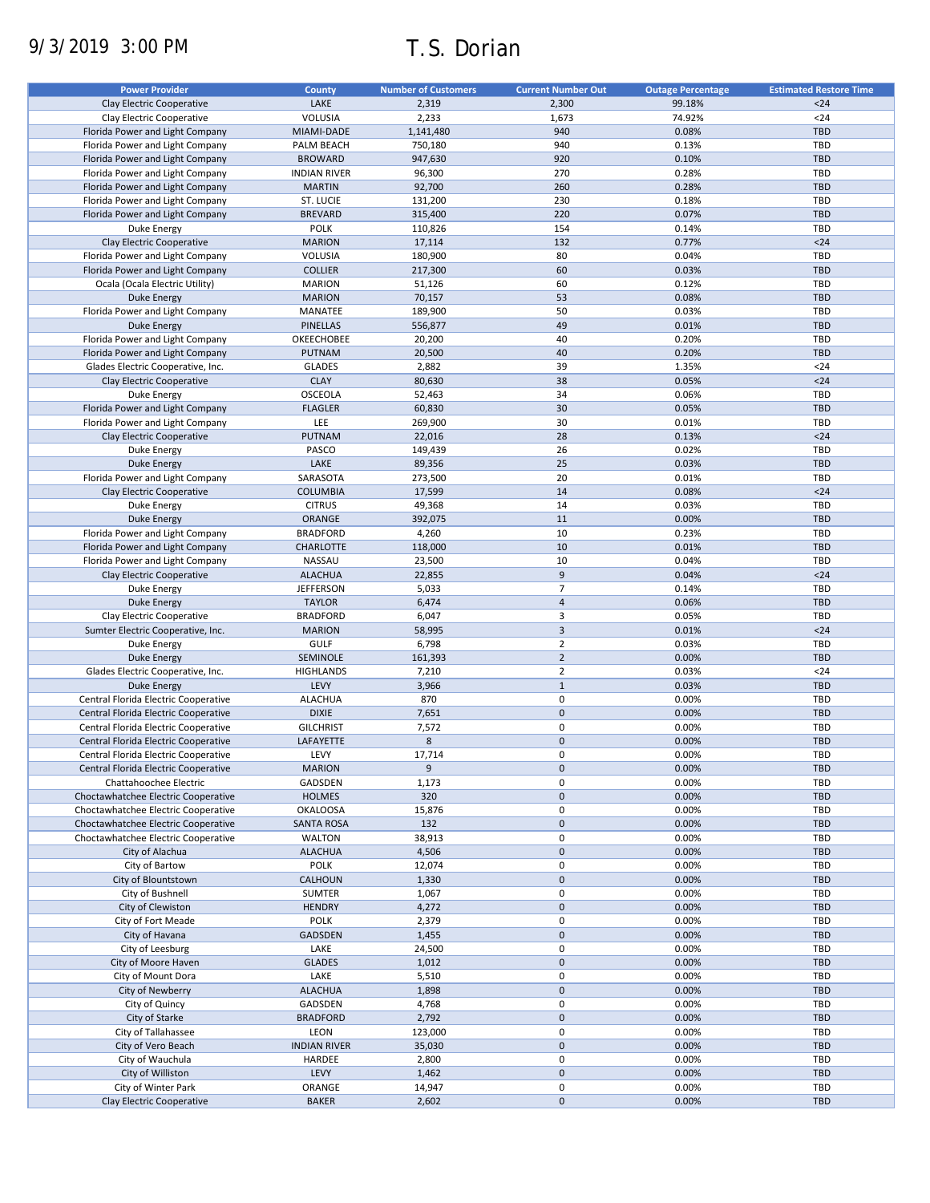# 9/3/2019 3:00 PM T.S. Dorian

| <b>Power Provider</b>                | <b>County</b>       | <b>Number of Customers</b> | <b>Current Number Out</b> | <b>Outage Percentage</b> | <b>Estimated Restore Time</b> |
|--------------------------------------|---------------------|----------------------------|---------------------------|--------------------------|-------------------------------|
| Clay Electric Cooperative            | LAKE                | 2,319                      | 2,300                     | 99.18%                   | $24$                          |
| Clay Electric Cooperative            | VOLUSIA             | 2,233                      | 1,673                     | 74.92%                   | $24$                          |
| Florida Power and Light Company      | MIAMI-DADE          | 1,141,480                  | 940                       | 0.08%                    | <b>TBD</b>                    |
|                                      |                     |                            |                           |                          |                               |
| Florida Power and Light Company      | PALM BEACH          | 750,180                    | 940                       | 0.13%                    | TBD                           |
| Florida Power and Light Company      | <b>BROWARD</b>      | 947,630                    | 920                       | 0.10%                    | <b>TBD</b>                    |
| Florida Power and Light Company      | <b>INDIAN RIVER</b> | 96,300                     | 270                       | 0.28%                    | <b>TBD</b>                    |
| Florida Power and Light Company      | <b>MARTIN</b>       | 92,700                     | 260                       | 0.28%                    | <b>TBD</b>                    |
| Florida Power and Light Company      | ST. LUCIE           | 131,200                    | 230                       | 0.18%                    | TBD                           |
| Florida Power and Light Company      | <b>BREVARD</b>      | 315,400                    | 220                       | 0.07%                    | <b>TBD</b>                    |
| Duke Energy                          | <b>POLK</b>         | 110,826                    | 154                       | 0.14%                    | <b>TBD</b>                    |
| Clay Electric Cooperative            | <b>MARION</b>       | 17,114                     | 132                       | 0.77%                    | $24$                          |
| Florida Power and Light Company      | VOLUSIA             | 180,900                    | 80                        | 0.04%                    | TBD                           |
| Florida Power and Light Company      | <b>COLLIER</b>      | 217,300                    | 60                        | 0.03%                    | <b>TBD</b>                    |
| Ocala (Ocala Electric Utility)       | <b>MARION</b>       | 51,126                     | 60                        | 0.12%                    | TBD                           |
|                                      |                     |                            | 53                        | 0.08%                    | <b>TBD</b>                    |
| <b>Duke Energy</b>                   | <b>MARION</b>       | 70,157                     |                           |                          |                               |
| Florida Power and Light Company      | MANATEE             | 189,900                    | 50                        | 0.03%                    | TBD                           |
| <b>Duke Energy</b>                   | <b>PINELLAS</b>     | 556,877                    | 49                        | 0.01%                    | <b>TBD</b>                    |
| Florida Power and Light Company      | OKEECHOBEE          | 20,200                     | 40                        | 0.20%                    | TBD                           |
| Florida Power and Light Company      | PUTNAM              | 20,500                     | 40                        | 0.20%                    | <b>TBD</b>                    |
| Glades Electric Cooperative, Inc.    | <b>GLADES</b>       | 2,882                      | 39                        | 1.35%                    | $24$                          |
| Clay Electric Cooperative            | <b>CLAY</b>         | 80,630                     | 38                        | 0.05%                    | $24$                          |
| Duke Energy                          | OSCEOLA             | 52,463                     | 34                        | 0.06%                    | TBD                           |
| Florida Power and Light Company      | <b>FLAGLER</b>      | 60,830                     | 30                        | 0.05%                    | <b>TBD</b>                    |
| Florida Power and Light Company      | LEE                 | 269,900                    | 30                        | 0.01%                    | TBD                           |
| Clay Electric Cooperative            | PUTNAM              | 22,016                     | 28                        | 0.13%                    | $24$                          |
|                                      |                     |                            |                           |                          |                               |
| Duke Energy                          | PASCO               | 149,439                    | 26                        | 0.02%                    | <b>TBD</b>                    |
| <b>Duke Energy</b>                   | LAKE                | 89,356                     | 25                        | 0.03%                    | <b>TBD</b>                    |
| Florida Power and Light Company      | SARASOTA            | 273,500                    | 20                        | 0.01%                    | <b>TBD</b>                    |
| Clay Electric Cooperative            | <b>COLUMBIA</b>     | 17,599                     | 14                        | 0.08%                    | $24$                          |
| Duke Energy                          | <b>CITRUS</b>       | 49,368                     | 14                        | 0.03%                    | TBD                           |
| <b>Duke Energy</b>                   | ORANGE              | 392,075                    | 11                        | 0.00%                    | <b>TBD</b>                    |
| Florida Power and Light Company      | <b>BRADFORD</b>     | 4,260                      | 10                        | 0.23%                    | TBD                           |
| Florida Power and Light Company      | <b>CHARLOTTE</b>    | 118,000                    | 10                        | 0.01%                    | <b>TBD</b>                    |
| Florida Power and Light Company      | NASSAU              | 23,500                     | 10                        | 0.04%                    | TBD                           |
|                                      |                     |                            | 9                         |                          | $24$                          |
| Clay Electric Cooperative            | <b>ALACHUA</b>      | 22,855                     |                           | 0.04%                    |                               |
| Duke Energy                          | <b>JEFFERSON</b>    | 5,033                      | $\overline{7}$            | 0.14%                    | TBD                           |
| <b>Duke Energy</b>                   | <b>TAYLOR</b>       | 6,474                      | $\overline{4}$            | 0.06%                    | <b>TBD</b>                    |
| Clay Electric Cooperative            | <b>BRADFORD</b>     | 6,047                      | 3                         | 0.05%                    | TBD                           |
| Sumter Electric Cooperative, Inc.    | <b>MARION</b>       | 58,995                     | $\overline{3}$            | 0.01%                    | $24$                          |
| Duke Energy                          | <b>GULF</b>         | 6,798                      | $\overline{2}$            | 0.03%                    | TBD                           |
| <b>Duke Energy</b>                   | SEMINOLE            | 161,393                    | $\overline{2}$            | 0.00%                    | <b>TBD</b>                    |
| Glades Electric Cooperative, Inc.    | <b>HIGHLANDS</b>    | 7,210                      | $\overline{2}$            | 0.03%                    | $24$                          |
| <b>Duke Energy</b>                   | LEVY                | 3,966                      | $\mathbf{1}$              | 0.03%                    | <b>TBD</b>                    |
| Central Florida Electric Cooperative | <b>ALACHUA</b>      | 870                        | 0                         | 0.00%                    | TBD                           |
| Central Florida Electric Cooperative | <b>DIXIE</b>        | 7,651                      | $\mathbf 0$               | 0.00%                    | <b>TBD</b>                    |
|                                      |                     |                            |                           |                          |                               |
| Central Florida Electric Cooperative | <b>GILCHRIST</b>    | 7,572                      | 0                         | 0.00%                    | TBD                           |
| Central Florida Electric Cooperative | LAFAYETTE           | 8                          | $\mathbf 0$               | 0.00%                    | <b>TBD</b>                    |
| Central Florida Electric Cooperative | LEVY                | 17,714                     | 0                         | 0.00%                    | TBD                           |
| Central Florida Electric Cooperative | <b>MARION</b>       | 9                          | $\pmb{0}$                 | 0.00%                    | <b>TBD</b>                    |
| Chattahoochee Electric               | GADSDEN             | 1,173                      | 0                         | 0.00%                    | TBD                           |
| Choctawhatchee Electric Cooperative  | <b>HOLMES</b>       | 320                        | $\mathbf 0$               | 0.00%                    | <b>TBD</b>                    |
| Choctawhatchee Electric Cooperative  | <b>OKALOOSA</b>     | 15,876                     | 0                         | 0.00%                    | <b>TBD</b>                    |
| Choctawhatchee Electric Cooperative  | <b>SANTA ROSA</b>   | 132                        | $\mathbf 0$               | 0.00%                    | <b>TBD</b>                    |
| Choctawhatchee Electric Cooperative  | WALTON              | 38,913                     | 0                         | 0.00%                    | TBD                           |
| City of Alachua                      | <b>ALACHUA</b>      | 4,506                      | 0                         | 0.00%                    | <b>TBD</b>                    |
| City of Bartow                       | POLK                | 12,074                     | 0                         | 0.00%                    | TBD                           |
|                                      |                     |                            |                           |                          |                               |
| City of Blountstown                  | <b>CALHOUN</b>      | 1,330                      | 0                         | 0.00%                    | <b>TBD</b>                    |
| City of Bushnell                     | <b>SUMTER</b>       | 1,067                      | 0                         | 0.00%                    | TBD                           |
| City of Clewiston                    | <b>HENDRY</b>       | 4,272                      | $\mathbf 0$               | 0.00%                    | <b>TBD</b>                    |
| City of Fort Meade                   | POLK                | 2,379                      | 0                         | 0.00%                    | TBD                           |
| City of Havana                       | GADSDEN             | 1,455                      | $\pmb{0}$                 | 0.00%                    | <b>TBD</b>                    |
| City of Leesburg                     | LAKE                | 24,500                     | 0                         | 0.00%                    | TBD                           |
| City of Moore Haven                  | <b>GLADES</b>       | 1,012                      | $\pmb{0}$                 | 0.00%                    | <b>TBD</b>                    |
| City of Mount Dora                   | LAKE                | 5,510                      | 0                         | 0.00%                    | TBD                           |
| City of Newberry                     | <b>ALACHUA</b>      | 1,898                      | $\pmb{0}$                 | 0.00%                    | <b>TBD</b>                    |
|                                      | GADSDEN             | 4,768                      | 0                         | 0.00%                    | TBD                           |
| City of Quincy                       |                     |                            |                           |                          |                               |
| City of Starke                       | <b>BRADFORD</b>     | 2,792                      | $\pmb{0}$                 | 0.00%                    | TBD                           |
| City of Tallahassee                  | LEON                | 123,000                    | 0                         | 0.00%                    | TBD                           |
| City of Vero Beach                   | <b>INDIAN RIVER</b> | 35,030                     | $\pmb{0}$                 | 0.00%                    | <b>TBD</b>                    |
| City of Wauchula                     | HARDEE              | 2,800                      | 0                         | 0.00%                    | TBD                           |
| City of Williston                    | LEVY                | 1,462                      | $\mathbf 0$               | 0.00%                    | TBD                           |
| City of Winter Park                  | ORANGE              | 14,947                     | 0                         | 0.00%                    | TBD                           |
| Clay Electric Cooperative            | <b>BAKER</b>        | 2,602                      | $\pmb{0}$                 | 0.00%                    | TBD                           |
|                                      |                     |                            |                           |                          |                               |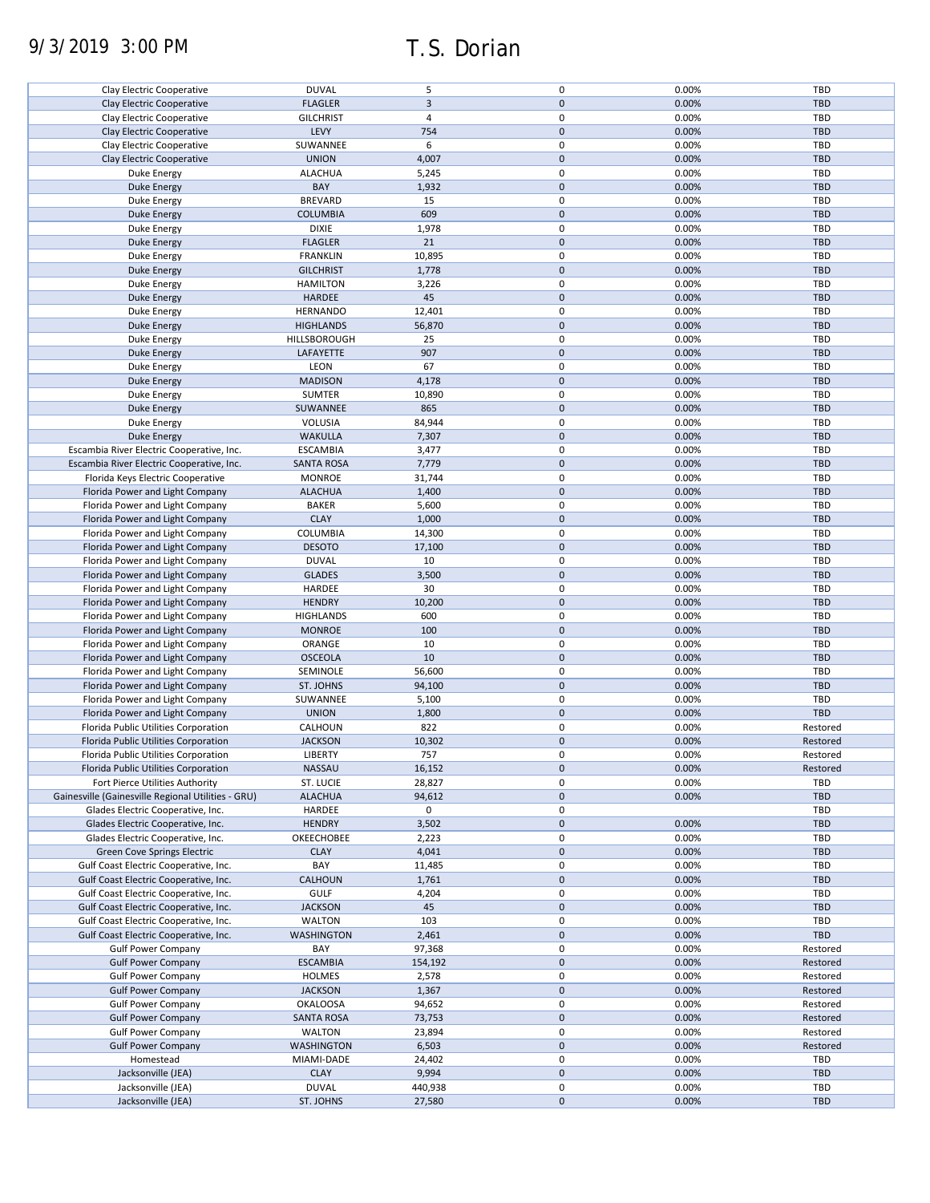# 9/3/2019 3:00 PM T.S. Dorian

| Clay Electric Cooperative                          | <b>DUVAL</b>      | 5              | 0           | 0.00% | TBD        |
|----------------------------------------------------|-------------------|----------------|-------------|-------|------------|
| Clay Electric Cooperative                          | <b>FLAGLER</b>    | $\overline{3}$ | $\mathbf 0$ | 0.00% | <b>TBD</b> |
|                                                    |                   |                |             |       |            |
| Clay Electric Cooperative                          | <b>GILCHRIST</b>  | $\overline{4}$ | 0           | 0.00% | TBD        |
| Clay Electric Cooperative                          | LEVY              | 754            | $\pmb{0}$   | 0.00% | <b>TBD</b> |
| Clay Electric Cooperative                          | SUWANNEE          | 6              | 0           | 0.00% | TBD        |
|                                                    |                   |                |             |       |            |
| Clay Electric Cooperative                          | <b>UNION</b>      | 4,007          | $\mathbf 0$ | 0.00% | <b>TBD</b> |
| Duke Energy                                        | <b>ALACHUA</b>    | 5,245          | 0           | 0.00% | TBD        |
|                                                    | BAY               | 1,932          | $\mathbf 0$ | 0.00% | <b>TBD</b> |
| <b>Duke Energy</b>                                 |                   |                |             |       |            |
| Duke Energy                                        | <b>BREVARD</b>    | 15             | 0           | 0.00% | TBD        |
| <b>Duke Energy</b>                                 | <b>COLUMBIA</b>   | 609            | $\pmb{0}$   | 0.00% | <b>TBD</b> |
|                                                    |                   |                |             |       |            |
| Duke Energy                                        | <b>DIXIE</b>      | 1,978          | 0           | 0.00% | TBD        |
| <b>Duke Energy</b>                                 | <b>FLAGLER</b>    | 21             | $\pmb{0}$   | 0.00% | <b>TBD</b> |
|                                                    |                   |                | $\mathbf 0$ |       |            |
| Duke Energy                                        | <b>FRANKLIN</b>   | 10,895         |             | 0.00% | TBD        |
| <b>Duke Energy</b>                                 | <b>GILCHRIST</b>  | 1,778          | $\pmb{0}$   | 0.00% | <b>TBD</b> |
| Duke Energy                                        | <b>HAMILTON</b>   | 3,226          | $\pmb{0}$   | 0.00% | <b>TBD</b> |
|                                                    |                   |                |             |       |            |
| Duke Energy                                        | HARDEE            | 45             | $\pmb{0}$   | 0.00% | <b>TBD</b> |
| Duke Energy                                        | <b>HERNANDO</b>   | 12,401         | $\mathbf 0$ | 0.00% | <b>TBD</b> |
|                                                    |                   |                | $\pmb{0}$   |       | <b>TBD</b> |
| <b>Duke Energy</b>                                 | <b>HIGHLANDS</b>  | 56,870         |             | 0.00% |            |
| Duke Energy                                        | HILLSBOROUGH      | 25             | $\mathbf 0$ | 0.00% | <b>TBD</b> |
| <b>Duke Energy</b>                                 | LAFAYETTE         | 907            | $\mathbf 0$ | 0.00% | <b>TBD</b> |
|                                                    |                   |                |             |       |            |
| Duke Energy                                        | LEON              | 67             | 0           | 0.00% | <b>TBD</b> |
| Duke Energy                                        | <b>MADISON</b>    | 4,178          | $\pmb{0}$   | 0.00% | <b>TBD</b> |
| <b>Duke Energy</b>                                 | SUMTER            | 10,890         | 0           | 0.00% | TBD        |
|                                                    |                   |                |             |       |            |
| <b>Duke Energy</b>                                 | SUWANNEE          | 865            | $\mathbf 0$ | 0.00% | <b>TBD</b> |
| Duke Energy                                        | VOLUSIA           | 84,944         | 0           | 0.00% | TBD        |
|                                                    |                   |                |             |       |            |
| <b>Duke Energy</b>                                 | <b>WAKULLA</b>    | 7,307          | $\pmb{0}$   | 0.00% | <b>TBD</b> |
| Escambia River Electric Cooperative, Inc.          | <b>ESCAMBIA</b>   | 3,477          | 0           | 0.00% | TBD        |
|                                                    |                   |                |             |       |            |
| Escambia River Electric Cooperative, Inc.          | <b>SANTA ROSA</b> | 7,779          | $\pmb{0}$   | 0.00% | <b>TBD</b> |
| Florida Keys Electric Cooperative                  | <b>MONROE</b>     | 31,744         | 0           | 0.00% | TBD        |
| Florida Power and Light Company                    | <b>ALACHUA</b>    | 1,400          | $\mathbf 0$ | 0.00% | <b>TBD</b> |
|                                                    |                   |                |             |       |            |
| Florida Power and Light Company                    | <b>BAKER</b>      | 5,600          | 0           | 0.00% | TBD        |
| Florida Power and Light Company                    | <b>CLAY</b>       | 1,000          | $\pmb{0}$   | 0.00% | <b>TBD</b> |
|                                                    |                   |                |             |       |            |
| Florida Power and Light Company                    | COLUMBIA          | 14,300         | 0           | 0.00% | TBD        |
| Florida Power and Light Company                    | <b>DESOTO</b>     | 17,100         | $\pmb{0}$   | 0.00% | <b>TBD</b> |
| Florida Power and Light Company                    | <b>DUVAL</b>      | 10             | 0           | 0.00% | TBD        |
|                                                    |                   |                |             |       |            |
| Florida Power and Light Company                    | <b>GLADES</b>     | 3,500          | $\pmb{0}$   | 0.00% | <b>TBD</b> |
| Florida Power and Light Company                    | HARDEE            | 30             | 0           | 0.00% | TBD        |
| Florida Power and Light Company                    | <b>HENDRY</b>     | 10,200         | $\mathbf 0$ | 0.00% | <b>TBD</b> |
|                                                    |                   |                |             |       |            |
| Florida Power and Light Company                    | <b>HIGHLANDS</b>  | 600            | $\pmb{0}$   | 0.00% | TBD        |
| Florida Power and Light Company                    | <b>MONROE</b>     | 100            | $\pmb{0}$   | 0.00% | <b>TBD</b> |
|                                                    |                   |                |             |       |            |
| Florida Power and Light Company                    | ORANGE            | 10             | $\pmb{0}$   | 0.00% | TBD        |
| Florida Power and Light Company                    | <b>OSCEOLA</b>    | 10             | $\pmb{0}$   | 0.00% | <b>TBD</b> |
|                                                    |                   |                | 0           |       | <b>TBD</b> |
| Florida Power and Light Company                    | SEMINOLE          | 56,600         |             | 0.00% |            |
| Florida Power and Light Company                    | ST. JOHNS         | 94,100         | $\pmb{0}$   | 0.00% | <b>TBD</b> |
| Florida Power and Light Company                    | SUWANNEE          | 5,100          | $\mathbf 0$ | 0.00% | <b>TBD</b> |
|                                                    |                   |                |             |       |            |
| Florida Power and Light Company                    | <b>UNION</b>      | 1,800          | $\mathbf 0$ | 0.00% | <b>TBD</b> |
| Florida Public Utilities Corporation               | CALHOUN           | 822            | 0           | 0.00% | Restored   |
|                                                    |                   |                |             |       |            |
| Florida Public Utilities Corporation               | <b>JACKSON</b>    | 10,302         | $\mathbf 0$ | 0.00% | Restored   |
| Florida Public Utilities Corporation               | LIBERTY           | 757            | $\mathbf 0$ | 0.00% | Restored   |
|                                                    | NASSAU            |                | $\pmb{0}$   | 0.00% | Restored   |
| Florida Public Utilities Corporation               |                   | 16,152         |             |       |            |
| Fort Pierce Utilities Authority                    | ST. LUCIE         | 28,827         | 0           | 0.00% | TBD        |
| Gainesville (Gainesville Regional Utilities - GRU) | <b>ALACHUA</b>    | 94,612         | $\pmb{0}$   | 0.00% | <b>TBD</b> |
|                                                    |                   |                |             |       |            |
| Glades Electric Cooperative, Inc.                  | HARDEE            | 0              | 0           |       | TBD        |
| Glades Electric Cooperative, Inc.                  | <b>HENDRY</b>     | 3,502          | $\mathbf 0$ | 0.00% | <b>TBD</b> |
| Glades Electric Cooperative, Inc.                  | OKEECHOBEE        | 2,223          | 0           | 0.00% | TBD        |
|                                                    |                   |                |             |       |            |
| <b>Green Cove Springs Electric</b>                 | <b>CLAY</b>       | 4,041          | $\pmb{0}$   | 0.00% | <b>TBD</b> |
| Gulf Coast Electric Cooperative, Inc.              | BAY               | 11,485         | 0           | 0.00% | TBD        |
|                                                    |                   |                |             |       |            |
| Gulf Coast Electric Cooperative, Inc.              | <b>CALHOUN</b>    | 1,761          | $\pmb{0}$   | 0.00% | <b>TBD</b> |
| Gulf Coast Electric Cooperative, Inc.              | <b>GULF</b>       | 4,204          | 0           | 0.00% | TBD        |
| Gulf Coast Electric Cooperative, Inc.              | <b>JACKSON</b>    | 45             | $\pmb{0}$   | 0.00% | <b>TBD</b> |
|                                                    |                   |                |             |       |            |
| Gulf Coast Electric Cooperative, Inc.              | <b>WALTON</b>     | 103            | 0           | 0.00% | TBD        |
| Gulf Coast Electric Cooperative, Inc.              | <b>WASHINGTON</b> | 2,461          | $\pmb{0}$   | 0.00% | <b>TBD</b> |
| <b>Gulf Power Company</b>                          | BAY               | 97,368         | 0           | 0.00% | Restored   |
|                                                    |                   |                |             |       |            |
| <b>Gulf Power Company</b>                          | <b>ESCAMBIA</b>   | 154,192        | $\pmb{0}$   | 0.00% | Restored   |
| <b>Gulf Power Company</b>                          | <b>HOLMES</b>     | 2,578          | 0           | 0.00% | Restored   |
|                                                    |                   |                |             |       |            |
| <b>Gulf Power Company</b>                          | <b>JACKSON</b>    | 1,367          | $\pmb{0}$   | 0.00% | Restored   |
| <b>Gulf Power Company</b>                          | <b>OKALOOSA</b>   | 94,652         | 0           | 0.00% | Restored   |
| <b>Gulf Power Company</b>                          | <b>SANTA ROSA</b> | 73,753         | $\pmb{0}$   | 0.00% | Restored   |
|                                                    |                   |                |             |       |            |
| <b>Gulf Power Company</b>                          | <b>WALTON</b>     | 23,894         | 0           | 0.00% | Restored   |
| <b>Gulf Power Company</b>                          | <b>WASHINGTON</b> | 6,503          | $\pmb{0}$   | 0.00% | Restored   |
|                                                    |                   |                |             |       |            |
| Homestead                                          | MIAMI-DADE        | 24,402         | 0           | 0.00% | TBD        |
| Jacksonville (JEA)                                 | <b>CLAY</b>       | 9,994          | $\pmb{0}$   | 0.00% | <b>TBD</b> |
| Jacksonville (JEA)                                 | <b>DUVAL</b>      | 440,938        | 0           | 0.00% | TBD        |
|                                                    |                   |                |             |       |            |
| Jacksonville (JEA)                                 | ST. JOHNS         | 27,580         | 0           | 0.00% | <b>TBD</b> |